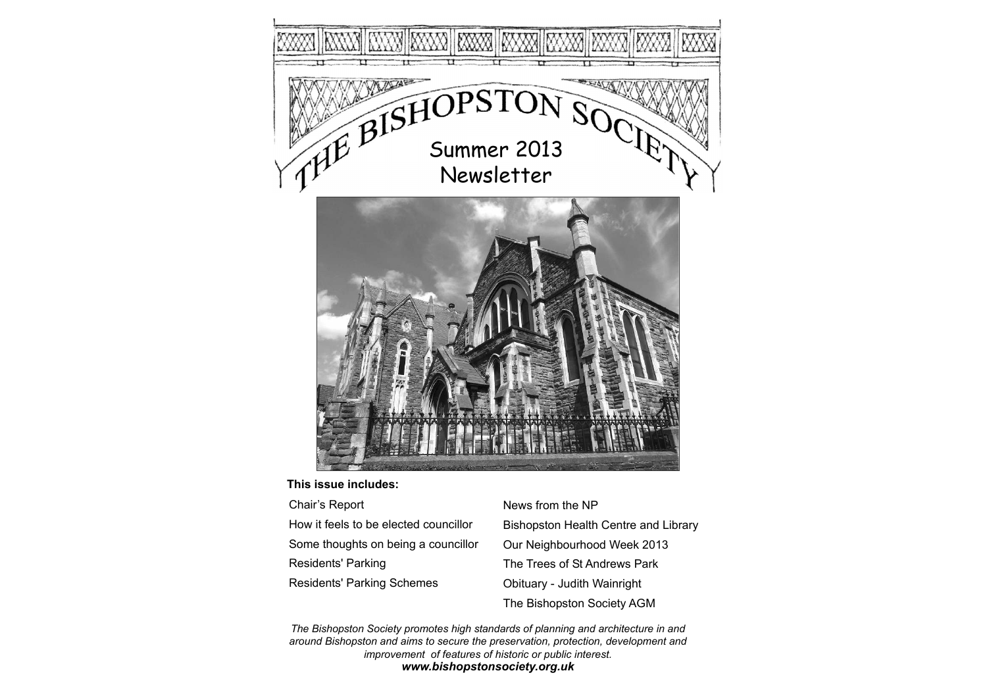

### **This issue includes:**

| Chair's Report                        | News fron        |
|---------------------------------------|------------------|
| How it feels to be elected councillor | <b>Bishopsto</b> |
| Some thoughts on being a councillor   | Our Neigh        |
| Residents' Parking                    | The Trees        |
| <b>Residents' Parking Schemes</b>     | Obituary -       |
|                                       |                  |

m the NP on Health Centre and Library hbourhood Week 2013 s of St Andrews Park Judith Wainright The Bishopston Society AGM

*The Bishopston Society promotes high standards of planning and architecture in and around Bishopston and aims to secure the preservation, protection, development and improvement of features of historic or public interest. www.bishopstonsociety.org.uk*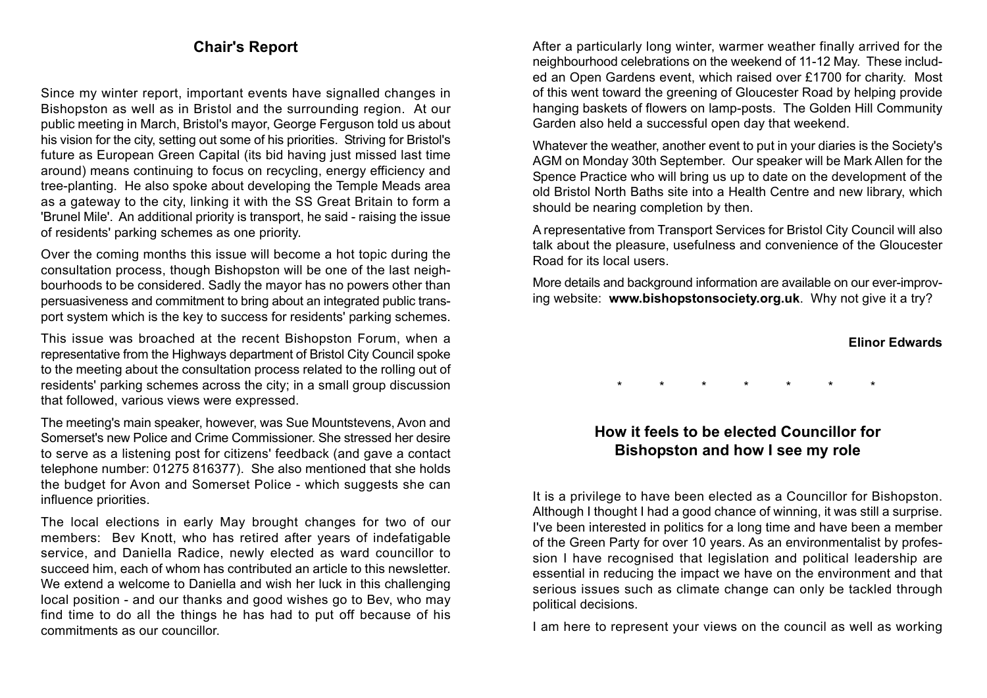# **Chair's Report**

Since my winter report, important events have signalled changes in Bishopston as well as in Bristol and the surrounding region. At our public meeting in March, Bristol's mayor, George Ferguson told us about his vision for the city, setting out some of his priorities. Striving for Bristol's future as European Green Capital (its bid having just missed last time around) means continuing to focus on recycling, energy efficiency and tree-planting. He also spoke about developing the Temple Meads area as a gateway to the city, linking it with the SS Great Britain to form a 'Brunel Mile'. An additional priority is transport, he said - raising the issue of residents' parking schemes as one priority.

Over the coming months this issue will become a hot topic during the consultation process, though Bishopston will be one of the last neigh bourhoods to be considered. Sadly the mayor has no powers other than persuasiveness and commitment to bring about an integrated public trans port system which is the key to success for residents' parking schemes.

This issue was broached at the recent Bishopston Forum, when a representative from the Highways department of Bristol City Council spoke to the meeting about the consultation process related to the rolling out of residents' parking schemes across the city; in a small group discussion that followed, various views were expressed.

The meeting's main speaker, however, was Sue Mountstevens, Avon and Somerset's new Police and Crime Commissioner. She stressed her desire to serve as a listening post for citizens' feedback (and gave a contact telephone number: 01275 816377). She also mentioned that she holds the budget for Avon and Somerset Police - which suggests she can influence priorities.

The local elections in early May brought changes for two of our members: Bev Knott, who has retired after years of indefatigable service, and Daniella Radice, newly elected as ward councillor to succeed him, each of whom has contributed an article to this newsletter. We extend a welcome to Daniella and wish her luck in this challenging local position - and our thanks and good wishes go to Bev, who may find time to do all the things he has had to put off because of his commitments as our councillor.

After a particularly long winter, warmer weather finally arrived for the neighbourhood celebrations on the weekend of 11-12 May. These includ ed an Open Gardens event, which raised over £1700 for charity. Most of this went toward the greening of Gloucester Road by helping provide hanging baskets of flowers on lamp-posts. The Golden Hill Community Garden also held a successful open day that weekend.

Whatever the weather, another event to put in your diaries is the Society's AGM on Monday 30th September. Our speaker will be Mark Allen for the Spence Practice who will bring us up to date on the development of the old Bristol North Baths site into a Health Centre and new library, which should be nearing completion by then.

A representative from Transport Services for Bristol City Council will also talk about the pleasure, usefulness and convenience of the Gloucester Road for its local users.

More details and background information are available on our ever-improv ing website: **www.bishopstonsociety.org.uk**. Why not give it a try?

### **Elinor Edwards**

\* \* \* \* \* \* \*

# **How it feels to be elected Councillor for Bishopston and how I see my role**

It is a privilege to have been elected as a Councillor for Bishopston. Although I thought I had a good chance of winning, it was still a surprise. I've been interested in politics for a long time and have been a member of the Green Party for over 10 years. As an environmentalist by profes sion I have recognised that legislation and political leadership are essential in reducing the impact we have on the environment and that serious issues such as climate change can only be tackled through political decisions.

I am here to represent your views on the council as well as working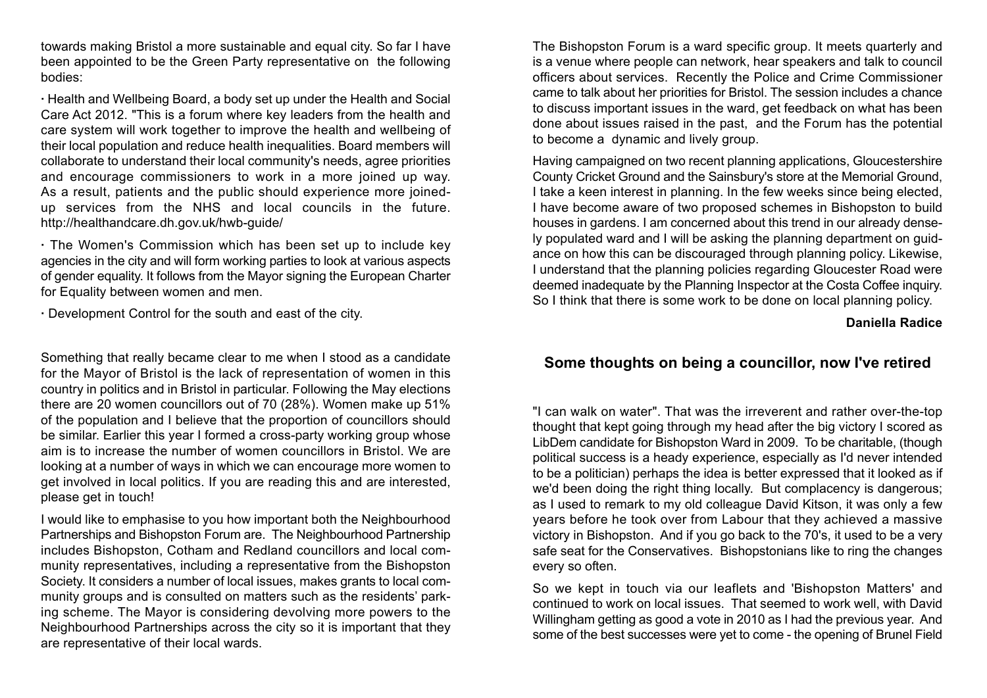towards making Bristol a more sustainable and equal city. So far I have been appointed to be the Green Party representative on the following bodies:

**·** Health and Wellbeing Board, a body set up under the Health and Social Care Act 2012. "This is a forum where key leaders from the health and care system will work together to improve the health and wellbeing of their local population and reduce health inequalities. Board members will collaborate to understand their local community's needs, agree priorities and encourage commissioners to work in a more joined up way. As a result, patients and the public should experience more joinedup services from the NHS and local councils in the future. http://healthandcare.dh.gov.uk/hwb-guide/

**·** The Women's Commission which has been set up to include key agencies in the city and will form working parties to look at various aspect s of gender equality. It follows from the Mayor signing the European Charter for Equality between women and men.

**·** Development Control for the south and east of the city.

Something that really became clear to me when I stood as a candidate for the Mayor of Bristol is the lack of representation of women in this country in politics and in Bristol in particular. Following the May elections there are 20 women councillors out of 70 (28%). Women make up 51% of the population and I believe that the proportion of councillors should be similar. Earlier this year I formed a cross-party working group whose aim is to increase the number of women councillors in Bristol. We are looking at a number of ways in which we can encourage more women to get involved in local politics. If you are reading this and are interested, please get in touch!

I would like to emphasise to you how important both the Neighbourhood Partnerships and Bishopston Forum are. The Neighbourhood Partnership includes Bishopston, Cotham and Redland councillors and local com munity representatives, including a representative from the Bishopston Society. It considers a number of local issues, makes grants to local com munity groups and is consulted on matters such as the residents' park ing scheme. The Mayor is considering devolving more powers to the Neighbourhood Partnerships across the city so it is important that they are representative of their local wards.

The Bishopston Forum is a ward specific group. It meets quarterly and is a venue where people can network, hear speakers and talk to council officers about services. Recently the Police and Crime Commissioner came to talk about her priorities for Bristol. The session includes a chance to discuss important issues in the ward, get feedback on what has been done about issues raised in the past, and the Forum has the potential to become a dynamic and lively group.

Having campaigned on two recent planning applications, Gloucestershire County Cricket Ground and the Sainsbury's store at the Memorial Ground, I take a keen interest in planning. In the few weeks since being elected, I have become aware of two proposed schemes in Bishopston to build houses in gardens. I am concerned about this trend in our already dense ly populated ward and I will be asking the planning department on guid ance on how this can be discouraged through planning policy. Likewise, I understand that the planning policies regarding Gloucester Road were deemed inadequate by the Planning Inspector at the Costa Coffee inquiry. So I think that there is some work to be done on local planning policy.

**Daniella Radice**

# **Some thoughts on being a councillor, now I've retired**

"I can walk on water". That was the irreverent and rather over-the-top thought that kept going through my head after the big victory I scored as LibDem candidate for Bishopston Ward in 2009. To be charitable, (though political success is a heady experience, especially as I'd never intended to be a politician) perhaps the idea is better expressed that it looked as if we'd been doing the right thing locally. But complacency is dangerous; as I used to remark to my old colleague David Kitson, it was only a few years before he took over from Labour that they achieved a massive victory in Bishopston. And if you go back to the 70's, it used to be a very safe seat for the Conservatives. Bishopstonians like to ring the changes every so often.

So we kept in touch via our leaflets and 'Bishopston Matters' and continued to work on local issues. That seemed to work well, with David Willingham getting as good a vote in 2010 as I had the previous year. And some of the best successes were yet to come - the opening of Brunel Field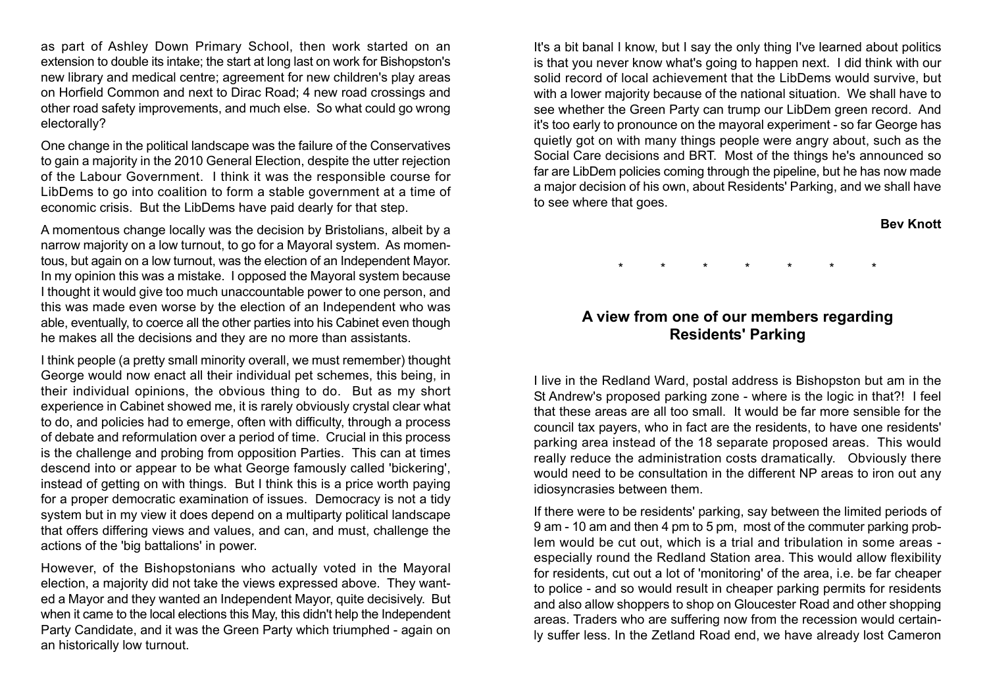as part of Ashley Down Primary School, then work started on an extension to double its intake; the start at long last on work for Bishopston's new library and medical centre; agreement for new children's play areas on Horfield Common and next to Dirac Road; 4 new road crossings and other road safety improvements, and much else. So what could go wrong electorally?

One change in the political landscape was the failure of the Conservatives to gain a majority in the 2010 General Election, despite the utter rejection of the Labour Government. I think it was the responsible course for LibDems to go into coalition to form a stable government at a time of economic crisis. But the LibDems have paid dearly for that step.

A momentous change locally was the decision by Bristolians, albeit by a narrow majority on a low turnout, to go for a Mayoral system. As momen tous, but again on a low turnout, was the election of an Independent Mayor. In my opinion this was a mistake. I opposed the Mayoral system because I thought it would give too much unaccountable power to one person, and this was made even worse by the election of an Independent who was able, eventually, to coerce all the other parties into his Cabinet even though he makes all the decisions and they are no more than assistants.

I think people (a pretty small minority overall, we must remember) thought George would now enact all their individual pet schemes, this being, in their individual opinions, the obvious thing to do. But as my short experience in Cabinet showed me, it is rarely obviously crystal clear what to do, and policies had to emerge, often with difficulty, through a process of debate and reformulation over a period of time. Crucial in this process is the challenge and probing from opposition Parties. This can at times descend into or appear to be what George famously called 'bickering', instead of getting on with things. But I think this is a price worth paying for a proper democratic examination of issues. Democracy is not a tidy system but in my view it does depend on a multiparty political landscape that offers differing views and values, and can, and must, challenge the actions of the 'big battalions' in power.

However, of the Bishopstonians who actually voted in the Mayoral election, a majority did not take the views expressed above. They want ed a Mayor and they wanted an Independent Mayor, quite decisively. But when it came to the local elections this May, this didn't help the Independent Party Candidate, and it was the Green Party which triumphed - again on an historically low turnout.

It's a bit banal I know, but I say the only thing I've learned about politics is that you never know what's going to happen next. I did think with our solid record of local achievement that the LibDems would survive, but with a lower majority because of the national situation. We shall have to see whether the Green Party can trump our LibDem green record. And it's too early to pronounce on the mayoral experiment - so far George has quietly got on with many things people were angry about, such as the Social Care decisions and BR T. Most of the things he's announced so far are LibDem policies coming through the pipeline, but he has now made a major decision of his own, about Residents' Parking, and we shall have to see where that goes.

### **Bev Knott**

\* \* \* \* \* \* \*

## **A view from one of our members regarding Residents' Parking**

I live in the Redland Ward, postal address is Bishopston but am in the St Andrew's proposed parking zone - where is the logic in that?! I feel that these areas are all too small. It would be far more sensible for the council tax payers, who in fact are the residents, to have one residents' parking area instead of the 18 separate proposed areas. This would really reduce the administration costs dramatically. Obviously there would need to be consultation in the different NP areas to iron out any idiosyncrasies between them.

If there were to be residents' parking, say between the limited periods of 9 am - 10 am and then 4 pm to 5 pm, most of the commuter parking prob lem would be cut out, which is a trial and tribulation in some areas especially round the Redland Station area. This would allow flexibility for residents, cut out a lot of 'monitoring' of the area, i.e. be far cheaper to police - and so would result in cheaper parking permits for resident s and also allow shoppers to shop on Gloucester Road and other shopping areas. Traders who are suffering now from the recession would certain ly suffer less. In the Zetland Road end, we have already lost Cameron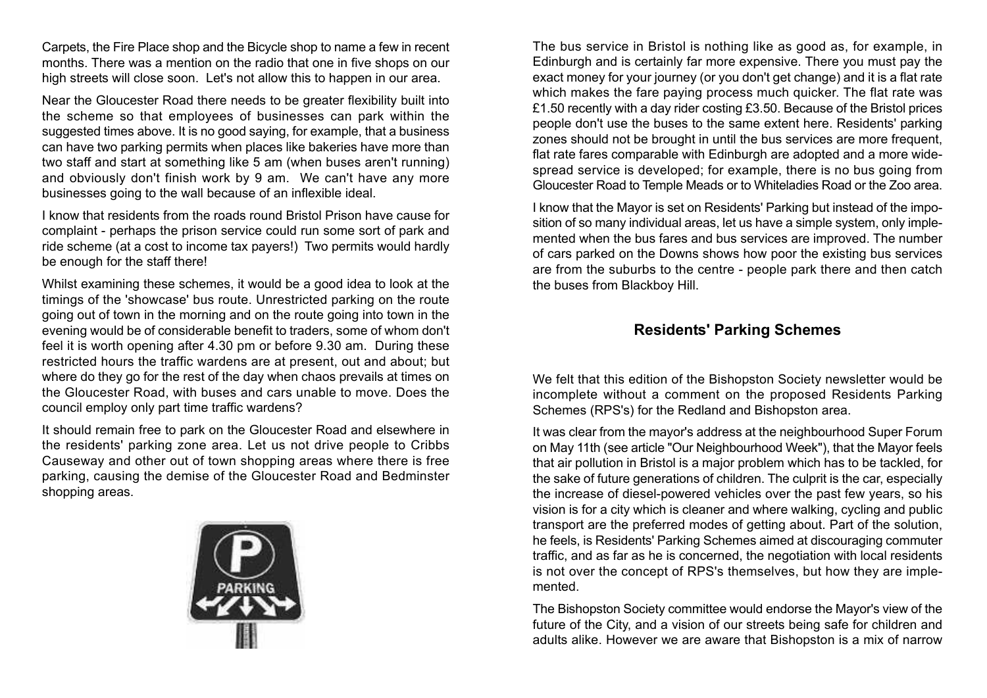Carpets, the Fire Place shop and the Bicycle shop to name a few in recent months. There was a mention on the radio that one in five shops on our high streets will close soon. Let's not allow this to happen in our area.

Near the Gloucester Road there needs to be greater flexibility built into the scheme so that employees of businesses can park within the suggested times above. It is no good saying, for example, that a business can have two parking permits when places like bakeries have more than two staff and start at something like 5 am (when buses aren't running) and obviously don't finish work by 9 am. We can't have any more businesses going to the wall because of an inflexible ideal.

I know that residents from the roads round Bristol Prison have cause for complaint - perhaps the prison service could run some sort of park and ride scheme (at a cost to income tax payers!) Two permits would hardly be enough for the staff there!

Whilst examining these schemes, it would be a good idea to look at the timings of the 'showcase' bus route. Unrestricted parking on the route going out of town in the morning and on the route going into town in the evening would be of considerable benefit to traders, some of whom don't feel it is worth opening after 4.30 pm or before 9.30 am. During these restricted hours the traffic wardens are at present, out and about; but where do they go for the rest of the day when chaos prevails at times on the Gloucester Road, with buses and cars unable to move. Does the council employ only part time traffic wardens?

It should remain free to park on the Gloucester Road and elsewhere in the residents' parking zone area. Let us not drive people to Cribbs Causeway and other out of town shopping areas where there is free parking, causing the demise of the Gloucester Road and Bedminster shopping areas.



The bus service in Bristol is nothing like as good as, for example, in Edinburgh and is certainly far more expensive. There you must pay the exact money for your journey (or you don't get change) and it is a flat rate which makes the fare paying process much quicker. The flat rate was £1.50 recently with a day rider costing £3.50. Because of the Bristol prices people don't use the buses to the same extent here. Residents' parking zones should not be brought in until the bus services are more frequent, flat rate fares comparable with Edinburgh are adopted and a more wide spread service is developed; for example, there is no bus going from Gloucester Road to Temple Meads or to Whiteladies Road or the Zoo area.

I know that the Mayor is set on Residents' Parking but instead of the impo sition of so many individual areas, let us have a simple system, only imple mented when the bus fares and bus services are improved. The number of cars parked on the Downs shows how poor the existing bus services are from the suburbs to the centre - people park there and then catch the buses from Blackboy Hill.

## **Residents' Parking Schemes**

We felt that this edition of the Bishopston Society newsletter would be incomplete without a comment on the proposed Residents Parking Schemes (RPS's) for the Redland and Bishopston area.

It was clear from the mayor's address at the neighbourhood Super Forum on May 11th (see article "Our Neighbourhood Week"), that the Mayor feels that air pollution in Bristol is a major problem which has to be tackled, for the sake of future generations of children. The culprit is the car, especially the increase of diesel-powered vehicles over the past few years, so his vision is for a city which is cleaner and where walking, cycling and public transport are the preferred modes of getting about. Part of the solution, he feels, is Residents' Parking Schemes aimed at discouraging commuter traffic, and as far as he is concerned, the negotiation with local resident s is not over the concept of RPS's themselves, but how they are imple mented.

The Bishopston Society committee would endorse the Mayor's view of the future of the City, and a vision of our streets being safe for children and adults alike. However we are aware that Bishopston is a mix of narrow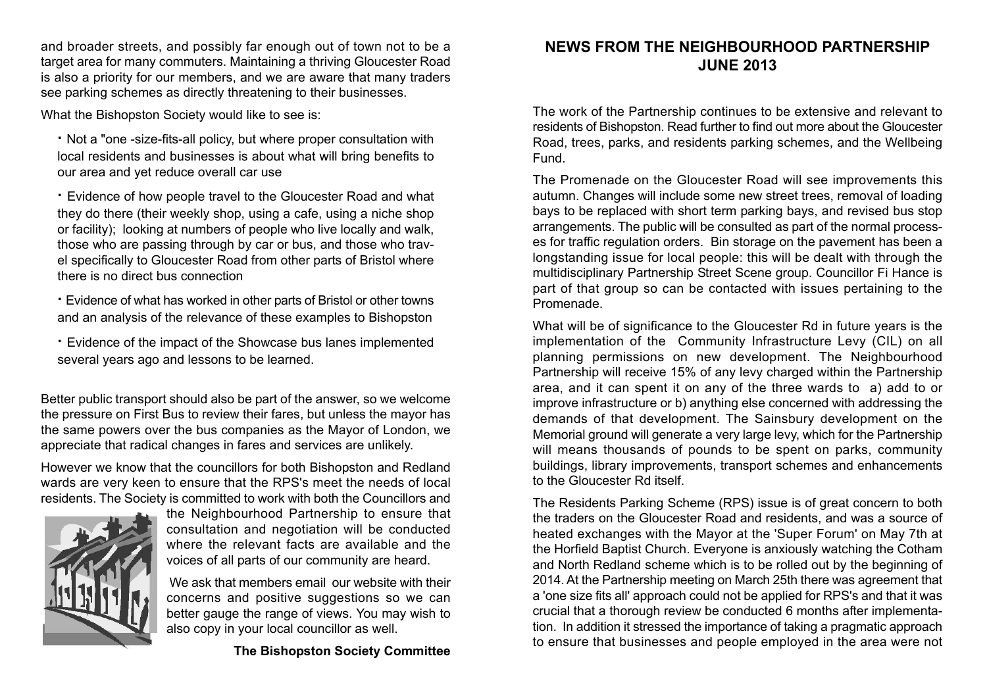and broader streets, and possibly far enough out of town not to be a target area for many commuters. Maintaining a thriving Gloucester Road is also a priority for our members, and we are aware that many traders see parking schemes as directly threatening to their businesses.

What the Bishopston Society would like to see is:

**·** Not a "one -size-fits-all policy, but where proper consultation with local residents and businesses is about what will bring benefits to our area and yet reduce overall car use

**·** Evidence of how people travel to the Gloucester Road and what they do there (their weekly shop, using a cafe, using a niche shop or facility); looking at numbers of people who live locally and walk, those who are passing through by car or bus, and those who trav el specifically to Gloucester Road from other parts of Bristol where there is no direct bus connection

- **·** Evidence of what has worked in other parts of Bristol or other towns and an analysis of the relevance of these examples to Bishopston
- **·** Evidence of the impact of the Showcase bus lanes implemented several years ago and lessons to be learned.

Better public transport should also be part of the answer, so we welcome the pressure on First Bus to review their fares, but unless the mayor has the same powers over the bus companies as the Mayor of London, we appreciate that radical changes in fares and services are unlikely.

However we know that the councillors for both Bishopston and Redland wards are very keen to ensure that the RPS's meet the needs of local residents. The Society is committed to work with both the Councillors and



the Neighbourhood Partnership to ensure that consultation and negotiation will be conducted where the relevant facts are available and the voices of all parts of our community are heard.

We ask that members email our website with their concerns and positive suggestions so we can better gauge the range of views. You may wish to also copy in your local councillor as well.

**The Bishopston Society Committee**

# **NEWS FROM THE NEIGHBOURHOOD PARTNERSHIP JUNE 2013**

The work of the Partnership continues to be extensive and relevant to residents of Bishopston. Read further to find out more about the Gloucester Road, trees, parks, and residents parking schemes, and the Wellbeing Fund.

The Promenade on the Gloucester Road will see improvements this autumn. Changes will include some new street trees, removal of loading bays to be replaced with short term parking bays, and revised bus stop arrangements. The public will be consulted as part of the normal process es for traffic regulation orders. Bin storage on the pavement has been a longstanding issue for local people: this will be dealt with through the multidisciplinary Partnership Street Scene group. Councillor Fi Hance is part of that group so can be contacted with issues pertaining to the Promenade.

What will be of significance to the Gloucester Rd in future years is the implementation of the Community Infrastructure Levy (CIL) on all planning permissions on new development. The Neighbourhood Partnership will receive 15% of any levy charged within the Partnership area, and it can spent it on any of the three wards to a) add to or improve infrastructure or b) anything else concerned with addressing the demands of that development. The Sainsbury development on the Memorial ground will generate a very large levy, which for the Partnership will means thousands of pounds to be spent on parks, community buildings, library improvements, transport schemes and enhancement s to the Gloucester Rd itself.

The Residents Parking Scheme (RPS) issue is of great concern to both the traders on the Gloucester Road and residents, and was a source of heated exchanges with the Mayor at the 'Super Forum' on May 7th at the Horfield Baptist Church. Everyone is anxiously watching the Cotham and North Redland scheme which is to be rolled out by the beginning of 2014. At the Partnership meeting on March 25th there was agreement that <sup>a</sup>'one size fits all' approach could not be applied for RPS's and that it was crucial that a thorough review be conducted 6 months after implementation. In addition it stressed the importance of taking a pragmatic approach to ensure that businesses and people employed in the area were not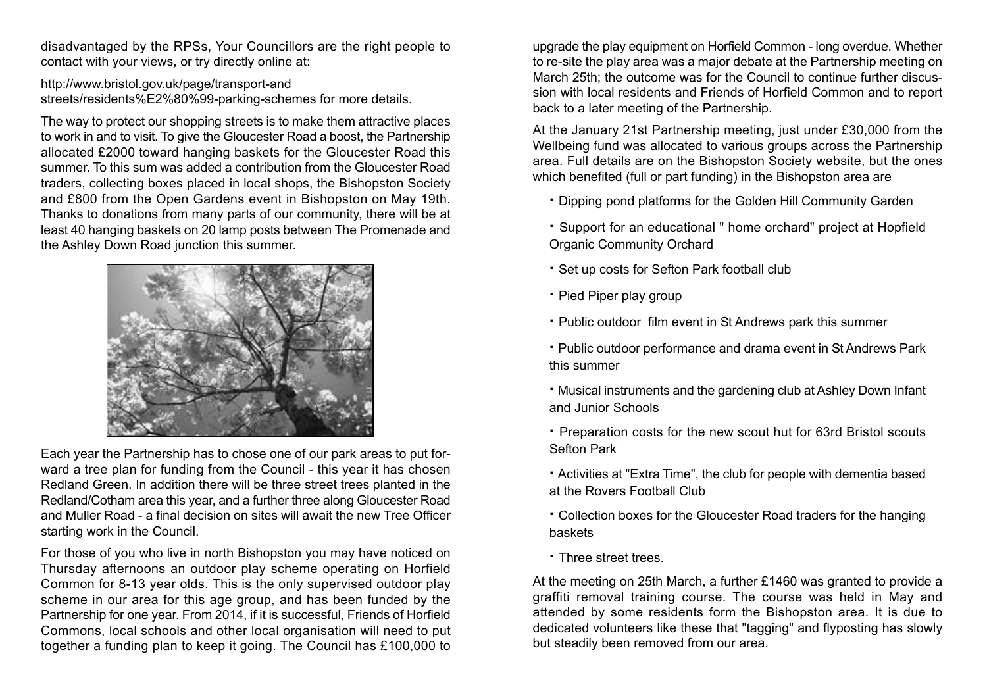disadvantaged by the RPSs, Your Councillors are the right people to contact with your views, or try directly online at:

http://www.bristol.gov.uk/page/transport-and streets/residents%E2%80%99-parking-schemes for more details.

The way to protect our shopping streets is to make them attractive places to work in and to visit. To give the Gloucester Road a boost, the Partnership allocated £2000 toward hanging baskets for the Gloucester Road this summer. To this sum was added a contribution from the Gloucester Road traders, collecting boxes placed in local shops, the Bishopston Society and £800 from the Open Gardens event in Bishopston on May 19th. Thanks to donations from many parts of our community, there will be at least 40 hanging baskets on 20 lamp posts between The Promenade and the Ashley Down Road junction this summer.



Each year the Partnership has to chose one of our park areas to put for ward a tree plan for funding from the Council - this year it has chosen Redland Green. In addition there will be three street trees planted in the Redland/Cotham area this year, and a further three along Gloucester Road and Muller Road - a final decision on sites will await the new Tree Officer starting work in the Council.

For those of you who live in north Bishopston you may have noticed on Thursday afternoons an outdoor play scheme operating on Horfield Common for 8-13 year olds. This is the only supervised outdoor play scheme in our area for this age group, and has been funded by the Partnership for one year. From 2014, if it is successful, Friends of Horfield Commons, local schools and other local organisation will need to put together a funding plan to keep it going. The Council has £100,000 to

upgrade the play equipment on Horfield Common - long overdue. Whether to re-site the play area was a major debate at the Partnership meeting on March 25th; the outcome was for the Council to continue further discus sion with local residents and Friends of Horfield Common and to report back to a later meeting of the Partnership.

At the January 21st Partnership meeting, just under £30,000 from the Wellbeing fund was allocated to various groups across the Partnership area. Full details are on the Bishopston Society website, but the ones which benefited (full or part funding) in the Bishopston area are

- **·** Dipping pond platforms for the Golden Hill Community Garden
- **·** Support for an educational " home orchard" project at Hopfield Organic Community Orchard
- **·** Set up costs for Sefton Park football club
- **·** Pied Piper play group
- **·** Public outdoor film event in St Andrews park this summer
- **·** Public outdoor performance and drama event in St Andrews Park this summer
- **·** Musical instruments and the gardening club at Ashley Down Infant and Junior Schools
- **·** Preparation costs for the new scout hut for 63rd Bristol scout s Sefton Park
- **·** Activities at "Extra Time", the club for people with dementia based at the Rovers Football Club
- **·** Collection boxes for the Gloucester Road traders for the hanging basket s
- **·** Three street trees.

At the meeting on 25th March, a further £1460 was granted to provide a graffiti removal training course. The course was held in May and attended by some residents form the Bishopston area. It is due to dedicated volunteers like these that "tagging" and flyposting has slowly but steadily been removed from our area.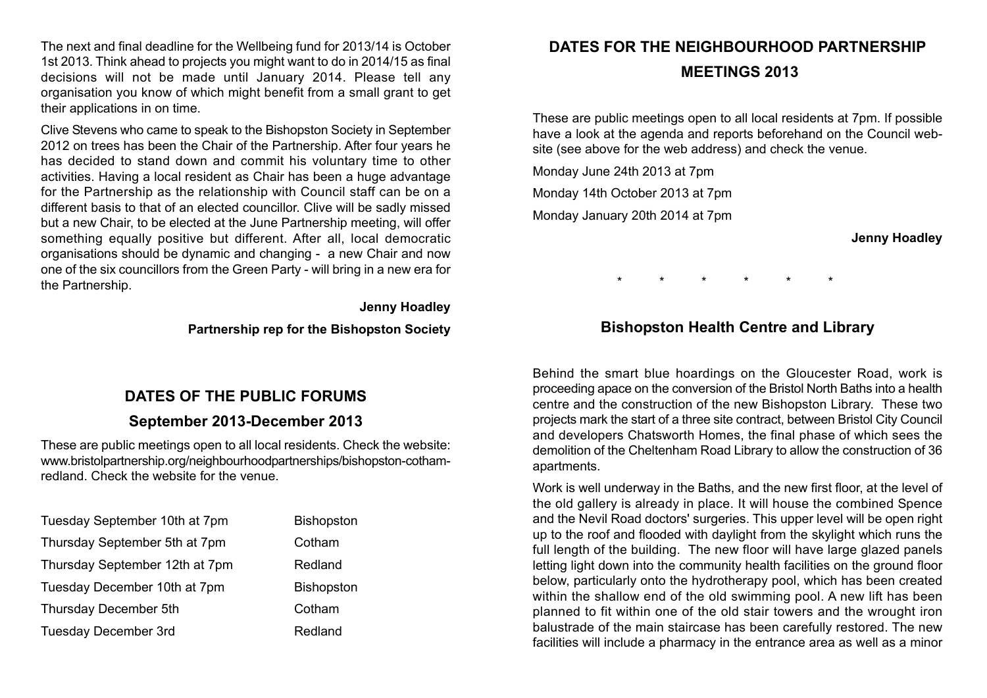The next and final deadline for the Wellbeing fund for 2013/14 is October 1st 2013. Think ahead to projects you might want to do in 2014/15 as final decisions will not be made until January 2014. Please tell any organisation you know of which might benefit from a small grant to get their applications in on time.

Clive Stevens who came to speak to the Bishopston Society in September 2012 on trees has been the Chair of the Partnership. After four years he has decided to stand down and commit his voluntary time to other activities. Having a local resident as Chair has been a huge advantage for the Partnership as the relationship with Council staff can be on a different basis to that of an elected councillor. Clive will be sadly missed but a new Chair, to be elected at the June Partnership meeting, will offer something equally positive but different. After all, local democratic organisations should be dynamic and changing - a new Chair and now one of the six councillors from the Green Party - will bring in a new era for the Partnership.

**Jenny Hoadley**

**Partnership rep for the Bishopston Society**

# **DATES OF THE PUBLIC FORUMS**

## **September 2013-December 2013**

These are public meetings open to all local residents. Check the website: www.bristolpartnership.org/neighbourhoodpartnerships/bishopston-cothamredland. Check the website for the venue.

| Tuesday September 10th at 7pm  | Bishopston        |
|--------------------------------|-------------------|
| Thursday September 5th at 7pm  | Cotham            |
| Thursday September 12th at 7pm | Redland           |
| Tuesday December 10th at 7pm   | <b>Bishopston</b> |
| Thursday December 5th          | Cotham            |
| <b>Tuesday December 3rd</b>    | Redland           |

# **DATES FOR THE NEIGHBOURHOOD PARTNERSHIP MEETINGS 2013**

These are public meetings open to all local residents at 7pm. If possible have a look at the agenda and reports beforehand on the Council website (see above for the web address) and check the venue.

Monday June 24th 2013 at 7pm Monday 14th October 2013 at 7pm Monday January 20th 2014 at 7pm

**Jenny Hoadley**

\* \* \* \* \* \*

# **Bishopston Health Centre and Library**

Behind the smart blue hoardings on the Gloucester Road, work is proceeding apace on the conversion of the Bristol North Baths into a health centre and the construction of the new Bishopston Library. These two projects mark the start of a three site contract, between Bristol City Council and developers Chatsworth Homes, the final phase of which sees the demolition of the Cheltenham Road Library to allow the construction of 36 apartments.

Work is well underway in the Baths, and the new first floor, at the level of the old gallery is already in place. It will house the combined Spence and the Nevil Road doctors' surgeries. This upper level will be open right up to the roof and flooded with daylight from the skylight which runs the full length of the building. The new floor will have large glazed panels letting light down into the community health facilities on the ground floor below, particularly onto the hydrotherapy pool, which has been created within the shallow end of the old swimming pool. A new lift has been planned to fit within one of the old stair towers and the wrought iron balustrade of the main staircase has been carefully restored. The new facilities will include a pharmacy in the entrance area as well as a minor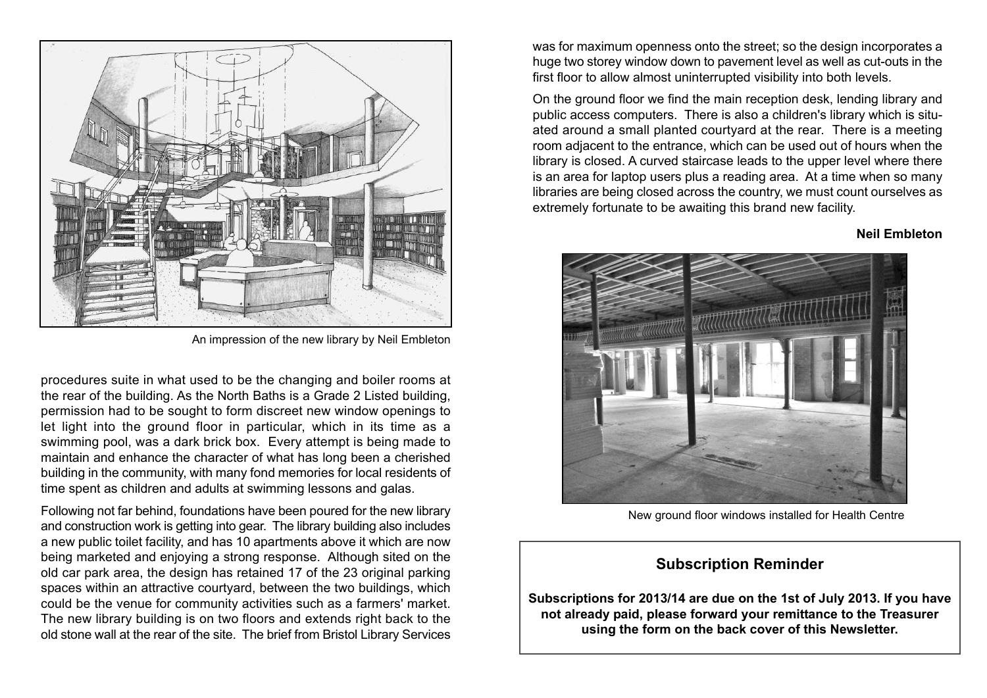

An impression of the new library by Neil Embleton

procedures suite in what used to be the changing and boiler rooms at the rear of the building. As the North Baths is a Grade 2 Listed building, permission had to be sought to form discreet new window openings to let light into the ground floor in particular, which in its time as a swimming pool, was a dark brick box. Every attempt is being made to maintain and enhance the character of what has long been a cherished building in the community, with many fond memories for local residents of time spent as children and adults at swimming lessons and galas.

Following not far behind, foundations have been poured for the new library and construction work is getting into gear. The library building also includes a new public toilet facility, and has 10 apartments above it which are now being marketed and enjoying a strong response. Although sited on the old car park area, the design has retained 17 of the 23 original parking spaces within an attractive courtyard, between the two buildings, which could be the venue for community activities such as a farmers' market. The new library building is on two floors and extends right back to the old stone wall at the rear of the site. The brief from Bristol Library Services was for maximum openness onto the street; so the design incorporates a huge two storey window down to pavement level as well as cut-outs in the first floor to allow almost uninterrupted visibility into both levels.

On the ground floor we find the main reception desk, lending library and public access computers. There is also a children's library which is situ ated around a small planted courtyard at the rear. There is a meeting room adjacent to the entrance, which can be used out of hours when the library is closed. A curved staircase leads to the upper level where there is an area for laptop users plus a reading area. At a time when so many libraries are being closed across the country, we must count ourselves as extremely fortunate to be awaiting this brand new facility.

### **Neil Embleton**



New ground floor windows installed for Health Centre

## **Subscription Reminder**

**Subscriptions for 2013/14 are due on the 1st of July 2013. If you have not already paid, please forward your remittance to the Treasurer using the form on the back cover of this Newsletter.**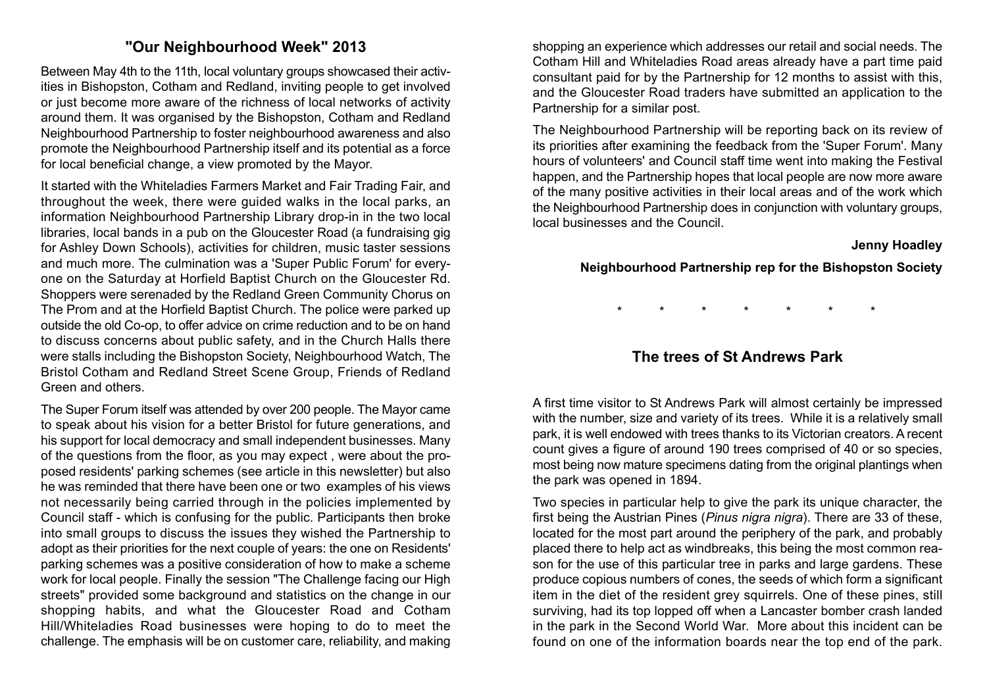# **"Our Neighbourhood Week" 2013**

Between May 4th to the 11th, local voluntary groups showcased their activ ities in Bishopston, Cotham and Redland, inviting people to get involved or just become more aware of the richness of local networks of activity around them. It was organised by the Bishopston, Cotham and Redland Neighbourhood Partnership to foster neighbourhood awareness and also promote the Neighbourhood Partnership itself and its potential as a force for local beneficial change, a view promoted by the Mayor.

It started with the Whiteladies Farmers Market and Fair Trading Fair, and throughout the week, there were guided walks in the local parks, an information Neighbourhood Partnership Library drop-in in the two local libraries, local bands in a pub on the Gloucester Road (a fundraising gig for Ashley Down Schools), activities for children, music taster sessions and much more. The culmination was a 'Super Public Forum' for every one on the Saturday at Horfield Baptist Church on the Gloucester Rd. Shoppers were serenaded by the Redland Green Community Chorus on The Prom and at the Horfield Baptist Church. The police were parked up outside the old Co-op, to offer advice on crime reduction and to be on hand to discuss concerns about public safety, and in the Church Halls there were stalls including the Bishopston Society, Neighbourhood Watch, The Bristol Cotham and Redland Street Scene Group, Friends of Redland Green and others.

The Super Forum itself was attended by over 200 people. The Mayor came to speak about his vision for a better Bristol for future generations, and his support for local democracy and small independent businesses. Many of the questions from the floor, as you may expect , were about the pro posed residents' parking schemes (see article in this newsletter) but also he was reminded that there have been one or two examples of his views not necessarily being carried through in the policies implemented by Council staff - which is confusing for the public. Participants then broke into small groups to discuss the issues they wished the Partnership to adopt as their priorities for the next couple of years: the one on Residents' parking schemes was a positive consideration of how to make a scheme work for local people. Finally the session "The Challenge facing our High streets" provided some background and statistics on the change in our shopping habits, and what the Gloucester Road and Cotham Hill/Whiteladies Road businesses were hoping to do to meet the challenge. The emphasis will be on customer care, reliability, and making

shopping an experience which addresses our retail and social needs. The Cotham Hill and Whiteladies Road areas already have a part time paid consultant paid for by the Partnership for 12 months to assist with this, and the Gloucester Road traders have submitted an application to the Partnership for a similar post.

The Neighbourhood Partnership will be reporting back on its review of its priorities after examining the feedback from the 'Super Forum'. Many hours of volunteers' and Council staff time went into making the Festival happen, and the Partnership hopes that local people are now more aware of the many positive activities in their local areas and of the work which the Neighbourhood Partnership does in conjunction with voluntary groups, local businesses and the Council.

#### **Jenny Hoadley**

**Neighbourhood Partnership rep for the Bishopston Society**

\* \* \* \* \* \* \*

# **The trees of St Andrews Park**

A first time visitor to St Andrews Park will almost certainly be impressed with the number, size and variety of its trees. While it is a relatively small park, it is well endowed with trees thanks to its Victorian creators. A recent count gives a figure of around 190 trees comprised of 40 or so species, most being now mature specimens dating from the original plantings when the park was opened in 1894.

Two species in particular help to give the park its unique character, the first being the Austrian Pines (*Pinus nigra nigra*). There are 33 of these, located for the most part around the periphery of the park, and probably placed there to help act as windbreaks, this being the most common rea son for the use of this particular tree in parks and large gardens. These produce copious numbers of cones, the seeds of which form a significant item in the diet of the resident grey squirrels. One of these pines, still surviving, had its top lopped off when a Lancaster bomber crash landed in the park in the Second World War. More about this incident can be found on one of the information boards near the top end of the park.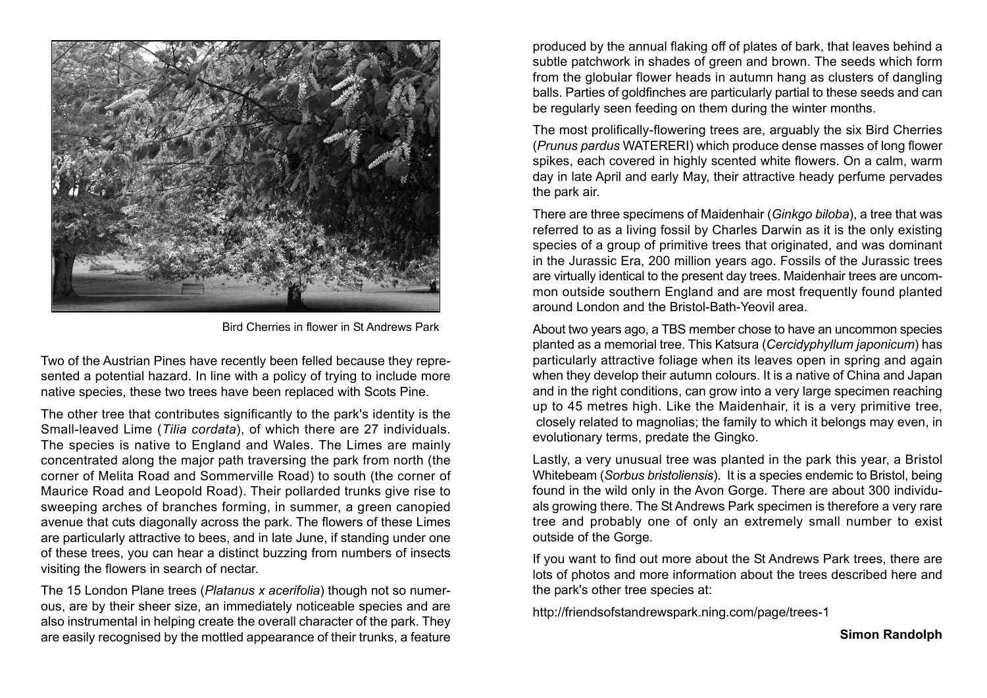

Bird Cherries in flower in St Andrews Park

Two of the Austrian Pines have recently been felled because they repre sented a potential hazard. In line with a policy of trying to include more native species, these two trees have been replaced with Scots Pine.

The other tree that contributes significantly to the park's identity is the Small-leaved Lime (*Tilia cordata*), of which there are 27 individuals. The species is native to England and Wales. The Limes are mainly concentrated along the major path traversing the park from north (the corner of Melita Road and Sommerville Road) to south (the corner of Maurice Road and Leopold Road). Their pollarded trunks give rise to sweeping arches of branches forming, in summer, a green canopied avenue that cuts diagonally across the park. The flowers of these Limes are particularly attractive to bees, and in late June, if standing under one of these trees, you can hear a distinct buzzing from numbers of insects visiting the flowers in search of nectar. The 15 London Plane trees (*Platanus x acerifolia*) though not so numer-

ous, are by their sheer size, an immediately noticeable species and are also instrumental in helping create the overall character of the park. They are easily recognised by the mottled appearance of their trunks, a feature

produced by the annual flaking off of plates of bark, that leaves behind a subtle patchwork in shades of green and brown. The seeds which form from the globular flower heads in autumn hang as clusters of dangling balls. Parties of goldfinches are particularly partial to these seeds and can be regularly seen feeding on them during the winter months.

The most prolifically-flowering trees are, arguably the six Bird Cherries (*Prunus pardus* WATERERI) which produce dense masses of long flower spikes, each covered in highly scented white flowers. On a calm, warm day in late April and early May, their attractive heady perfume pervades the park air.

There are three specimens of Maidenhair (*Ginkgo biloba*), a tree that was referred to as a living fossil by Charles Darwin as it is the only existing species of a group of primitive trees that originated, and was dominant in the Jurassic Era, 200 million years ago. Fossils of the Jurassic trees are virtually identical to the present day trees. Maidenhair trees are uncom mon outside southern England and are most frequently found planted around London and the Bristol-Bath-Yeovil area.

About two years ago, a TBS member chose to have an uncommon species planted as a memorial tree. This Katsura (*Cercidyphyllum japonicum*) has particularly attractive foliage when its leaves open in spring and again when they develop their autumn colours. It is a native of China and Japan and in the right conditions, can grow into a very large specimen reaching up to 45 metres high. Like the Maidenhair, it is a very primitive tree, closely related to magnolias; the family to which it belongs may even, in evolutionary terms, predate the Gingko.

Lastly, a very unusual tree was planted in the park this year, a Bristol Whitebeam (*Sorbus bristoliensis*). It is a species endemic to Bristol, being found in the wild only in the Avon Gorge. There are about 300 individu als growing there. The St Andrews Park specimen is therefore a very rare tree and probably one of only an extremely small number to exist outside of the Gorge.

If you want to find out more about the St Andrews Park trees, there are lots of photos and more information about the trees described here and the park's other tree species at:

http://friendsofstandrewspark.ning.com/page/trees-1

**Simon Randolph**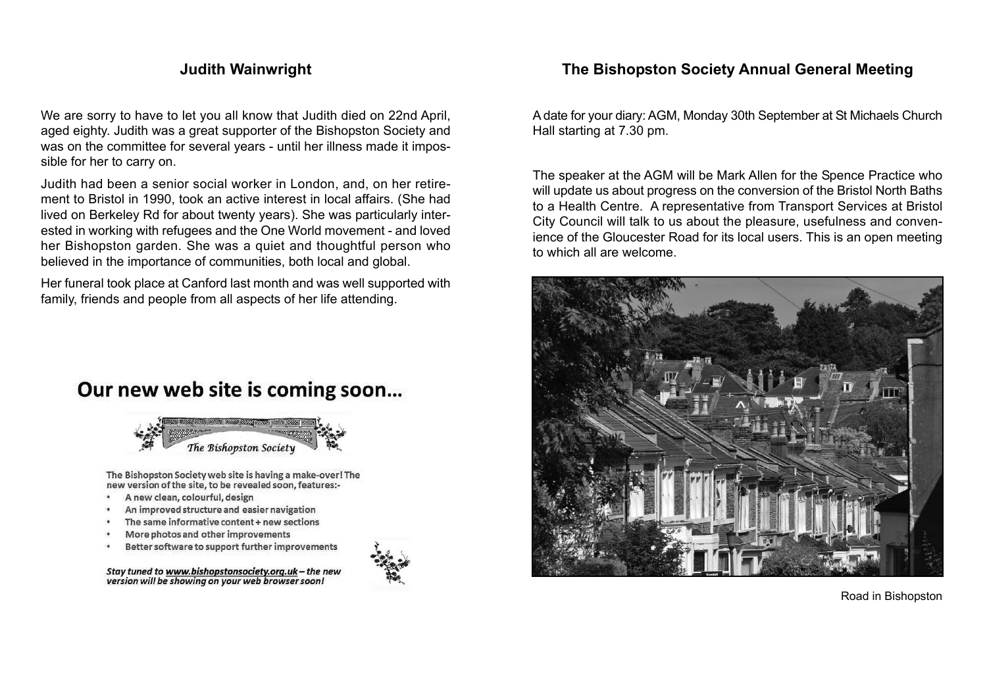# **Judith Wainwright**

We are sorry to have to let you all know that Judith died on 22nd April. aged eighty. Judith was a great supporter of the Bishopston Society and was on the committee for several years - until her illness made it impos sible for her to carry on.

Judith had been a senior social worker in London, and, on her retire ment to Bristol in 1990, took an active interest in local affairs. (She had lived on Berkeley Rd for about twenty years). She was particularly inter ested in working with refugees and the One World movement - and loved her Bishopston garden. She was a quiet and thoughtful person who believed in the importance of communities, both local and global.

Her funeral took place at Canford last month and was well supported with family, friends and people from all aspects of her life attending.





The Bishopston Society web site is having a make-over! The new version of the site, to be revealed soon, features:-

- A new clean, colourful, design
- An improved structure and easier navigation
- The same informative content + new sections
- More photos and other improvements
- Better software to support further improvements

Stay tuned to www.bishopstonsociety.org.uk-the new version will be showing on your web browser soon!



# **The Bishopston Society Annual General Meeting**

Adate for your diary: AGM, Monday 30th September at St Michaels Church Hall starting at 7.30 pm.

The speaker at the AGM will be Mark Allen for the Spence Practice who will update us about progress on the conversion of the Bristol North Baths to a Health Centre. A representative from Transport Services at Bristol City Council will talk to us about the pleasure, usefulness and conven ience of the Gloucester Road for its local users. This is an open meeting to which all are welcome.



Road in Bishopston